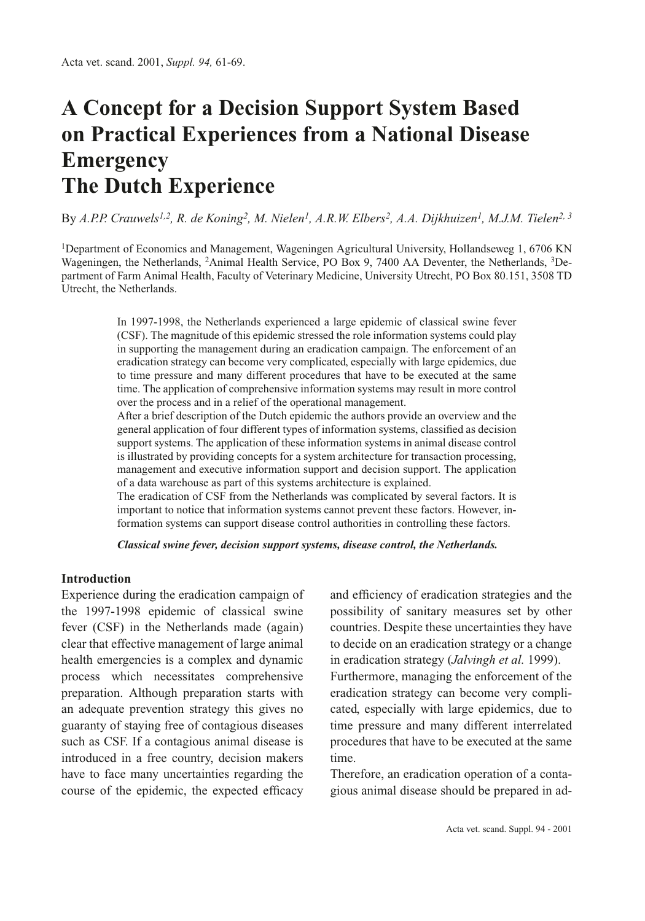# **A Concept for a Decision Support System Based on Practical Experiences from a National Disease Emergency The Dutch Experience**

By *A.P.P. Crauwels1,2, R. de Koning2, M. Nielen1, A.R.W. Elbers2, A.A. Dijkhuizen1, M.J.M. Tielen2, 3*

<sup>1</sup>Department of Economics and Management, Wageningen Agricultural University, Hollandseweg 1, 6706 KN Wageningen, the Netherlands, <sup>2</sup>Animal Health Service, PO Box 9, 7400 AA Deventer, the Netherlands, <sup>3</sup>Department of Farm Animal Health, Faculty of Veterinary Medicine, University Utrecht, PO Box 80.151, 3508 TD Utrecht, the Netherlands.

> In 1997-1998, the Netherlands experienced a large epidemic of classical swine fever (CSF). The magnitude of this epidemic stressed the role information systems could play in supporting the management during an eradication campaign. The enforcement of an eradication strategy can become very complicated, especially with large epidemics, due to time pressure and many different procedures that have to be executed at the same time. The application of comprehensive information systems may result in more control over the process and in a relief of the operational management.

> After a brief description of the Dutch epidemic the authors provide an overview and the general application of four different types of information systems, classified as decision support systems. The application of these information systems in animal disease control is illustrated by providing concepts for a system architecture for transaction processing, management and executive information support and decision support. The application of a data warehouse as part of this systems architecture is explained.

> The eradication of CSF from the Netherlands was complicated by several factors. It is important to notice that information systems cannot prevent these factors. However, information systems can support disease control authorities in controlling these factors.

*Classical swine fever, decision support systems, disease control, the Netherlands.*

### **Introduction**

Experience during the eradication campaign of the 1997-1998 epidemic of classical swine fever (CSF) in the Netherlands made (again) clear that effective management of large animal health emergencies is a complex and dynamic process which necessitates comprehensive preparation. Although preparation starts with an adequate prevention strategy this gives no guaranty of staying free of contagious diseases such as CSF. If a contagious animal disease is introduced in a free country, decision makers have to face many uncertainties regarding the course of the epidemic, the expected efficacy

and efficiency of eradication strategies and the possibility of sanitary measures set by other countries. Despite these uncertainties they have to decide on an eradication strategy or a change in eradication strategy (*Jalvingh et al.* 1999).

Furthermore, managing the enforcement of the eradication strategy can become very complicated, especially with large epidemics, due to time pressure and many different interrelated procedures that have to be executed at the same time.

Therefore, an eradication operation of a contagious animal disease should be prepared in ad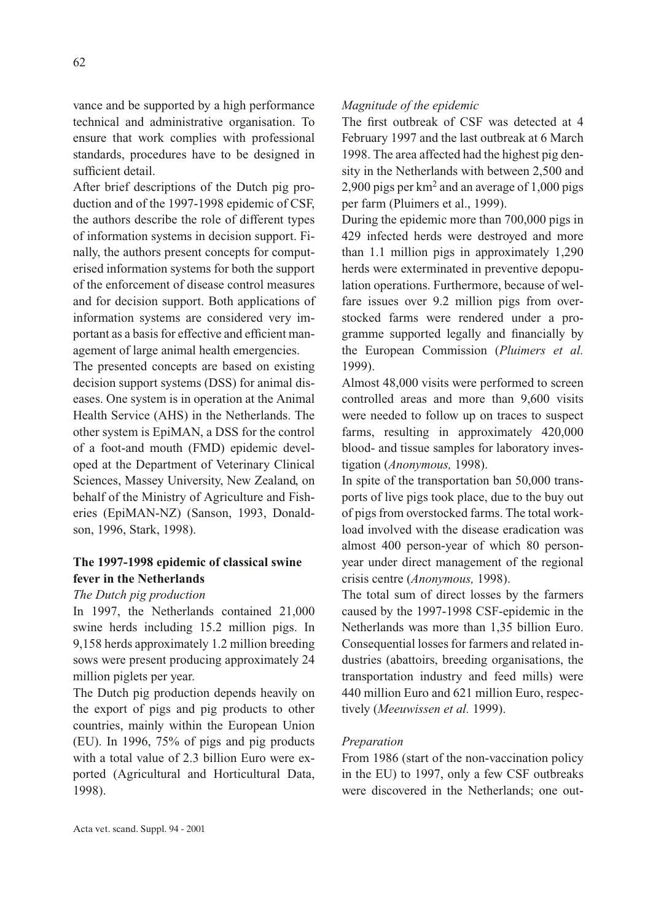vance and be supported by a high performance technical and administrative organisation. To ensure that work complies with professional standards, procedures have to be designed in sufficient detail.

After brief descriptions of the Dutch pig production and of the 1997-1998 epidemic of CSF, the authors describe the role of different types of information systems in decision support. Finally, the authors present concepts for computerised information systems for both the support of the enforcement of disease control measures and for decision support. Both applications of information systems are considered very important as a basis for effective and efficient management of large animal health emergencies.

The presented concepts are based on existing decision support systems (DSS) for animal diseases. One system is in operation at the Animal Health Service (AHS) in the Netherlands. The other system is EpiMAN, a DSS for the control of a foot-and mouth (FMD) epidemic developed at the Department of Veterinary Clinical Sciences, Massey University, New Zealand, on behalf of the Ministry of Agriculture and Fisheries (EpiMAN-NZ) (Sanson, 1993, Donaldson, 1996, Stark, 1998).

## **The 1997-1998 epidemic of classical swine fever in the Netherlands**

## *The Dutch pig production*

In 1997, the Netherlands contained 21,000 swine herds including 15.2 million pigs. In 9,158 herds approximately 1.2 million breeding sows were present producing approximately 24 million piglets per year.

The Dutch pig production depends heavily on the export of pigs and pig products to other countries, mainly within the European Union (EU). In 1996, 75% of pigs and pig products with a total value of 2.3 billion Euro were exported (Agricultural and Horticultural Data, 1998).

#### *Magnitude of the epidemic*

The first outbreak of CSF was detected at 4 February 1997 and the last outbreak at 6 March 1998. The area affected had the highest pig density in the Netherlands with between 2,500 and 2,900 pigs per  $km^2$  and an average of 1,000 pigs per farm (Pluimers et al., 1999).

During the epidemic more than 700,000 pigs in 429 infected herds were destroyed and more than 1.1 million pigs in approximately 1,290 herds were exterminated in preventive depopulation operations. Furthermore, because of welfare issues over 9.2 million pigs from overstocked farms were rendered under a programme supported legally and financially by the European Commission (*Pluimers et al.* 1999).

Almost 48,000 visits were performed to screen controlled areas and more than 9,600 visits were needed to follow up on traces to suspect farms, resulting in approximately 420,000 blood- and tissue samples for laboratory investigation (*Anonymous,* 1998).

In spite of the transportation ban 50,000 transports of live pigs took place, due to the buy out of pigs from overstocked farms. The total workload involved with the disease eradication was almost 400 person-year of which 80 personyear under direct management of the regional crisis centre (*Anonymous,* 1998).

The total sum of direct losses by the farmers caused by the 1997-1998 CSF-epidemic in the Netherlands was more than 1,35 billion Euro. Consequential losses for farmers and related industries (abattoirs, breeding organisations, the transportation industry and feed mills) were 440 million Euro and 621 million Euro, respectively (*Meeuwissen et al.* 1999).

#### *Preparation*

From 1986 (start of the non-vaccination policy in the EU) to 1997, only a few CSF outbreaks were discovered in the Netherlands; one out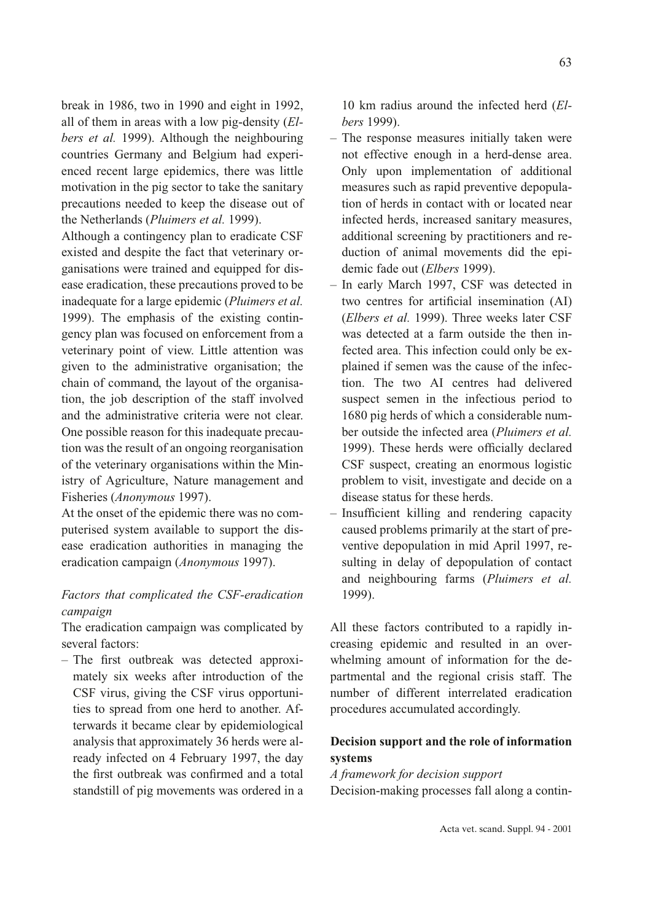break in 1986, two in 1990 and eight in 1992, all of them in areas with a low pig-density (*Elbers et al.* 1999). Although the neighbouring countries Germany and Belgium had experienced recent large epidemics, there was little motivation in the pig sector to take the sanitary precautions needed to keep the disease out of the Netherlands (*Pluimers et al.* 1999).

Although a contingency plan to eradicate CSF existed and despite the fact that veterinary organisations were trained and equipped for disease eradication, these precautions proved to be inadequate for a large epidemic (*Pluimers et al.* 1999). The emphasis of the existing contingency plan was focused on enforcement from a veterinary point of view. Little attention was given to the administrative organisation; the chain of command, the layout of the organisation, the job description of the staff involved and the administrative criteria were not clear. One possible reason for this inadequate precaution was the result of an ongoing reorganisation of the veterinary organisations within the Ministry of Agriculture, Nature management and Fisheries (*Anonymous* 1997).

At the onset of the epidemic there was no computerised system available to support the disease eradication authorities in managing the eradication campaign (*Anonymous* 1997).

# *Factors that complicated the CSF-eradication campaign*

The eradication campaign was complicated by several factors:

– The first outbreak was detected approximately six weeks after introduction of the CSF virus, giving the CSF virus opportunities to spread from one herd to another. Afterwards it became clear by epidemiological analysis that approximately 36 herds were already infected on 4 February 1997, the day the first outbreak was confirmed and a total standstill of pig movements was ordered in a 10 km radius around the infected herd (*Elbers* 1999).

- The response measures initially taken were not effective enough in a herd-dense area. Only upon implementation of additional measures such as rapid preventive depopulation of herds in contact with or located near infected herds, increased sanitary measures, additional screening by practitioners and reduction of animal movements did the epidemic fade out (*Elbers* 1999).
- In early March 1997, CSF was detected in two centres for artificial insemination (AI) (*Elbers et al.* 1999). Three weeks later CSF was detected at a farm outside the then infected area. This infection could only be explained if semen was the cause of the infection. The two AI centres had delivered suspect semen in the infectious period to 1680 pig herds of which a considerable number outside the infected area (*Pluimers et al.* 1999). These herds were officially declared CSF suspect, creating an enormous logistic problem to visit, investigate and decide on a disease status for these herds.
- Insufficient killing and rendering capacity caused problems primarily at the start of preventive depopulation in mid April 1997, resulting in delay of depopulation of contact and neighbouring farms (*Pluimers et al.* 1999).

All these factors contributed to a rapidly increasing epidemic and resulted in an overwhelming amount of information for the departmental and the regional crisis staff. The number of different interrelated eradication procedures accumulated accordingly.

# **Decision support and the role of information systems**

*A framework for decision support* Decision-making processes fall along a contin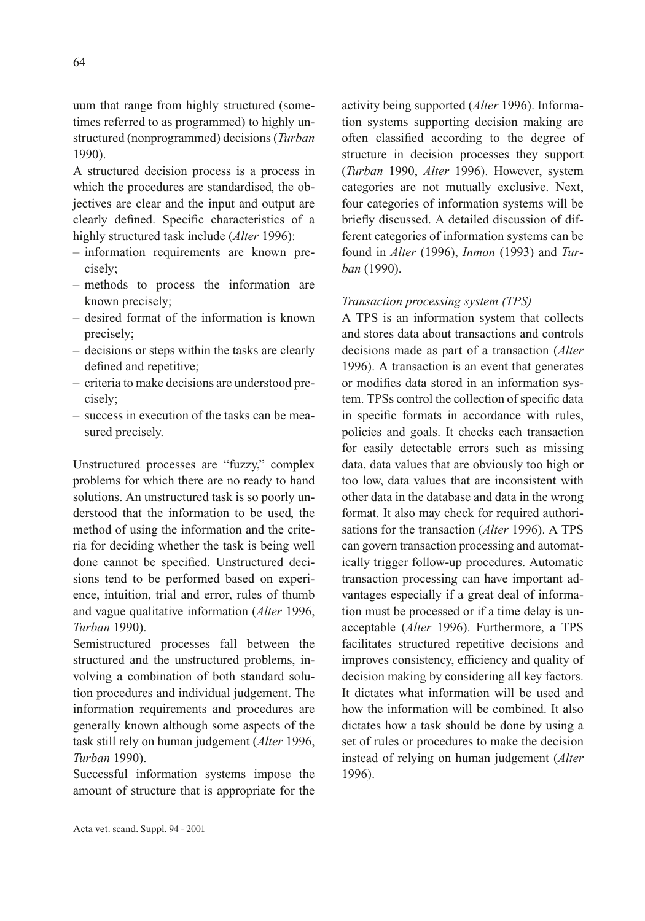uum that range from highly structured (sometimes referred to as programmed) to highly unstructured (nonprogrammed) decisions (*Turban* 1990).

A structured decision process is a process in which the procedures are standardised, the objectives are clear and the input and output are clearly defined. Specific characteristics of a highly structured task include (*Alter* 1996):

- information requirements are known precisely;
- methods to process the information are known precisely;
- desired format of the information is known precisely;
- decisions or steps within the tasks are clearly defined and repetitive;
- criteria to make decisions are understood precisely;
- success in execution of the tasks can be measured precisely.

Unstructured processes are "fuzzy," complex problems for which there are no ready to hand solutions. An unstructured task is so poorly understood that the information to be used, the method of using the information and the criteria for deciding whether the task is being well done cannot be specified. Unstructured decisions tend to be performed based on experience, intuition, trial and error, rules of thumb and vague qualitative information (*Alter* 1996, *Turban* 1990).

Semistructured processes fall between the structured and the unstructured problems, involving a combination of both standard solution procedures and individual judgement. The information requirements and procedures are generally known although some aspects of the task still rely on human judgement (*Alter* 1996, *Turban* 1990).

Successful information systems impose the amount of structure that is appropriate for the

activity being supported (*Alter* 1996). Information systems supporting decision making are often classified according to the degree of structure in decision processes they support (*Turban* 1990, *Alter* 1996). However, system categories are not mutually exclusive. Next, four categories of information systems will be briefly discussed. A detailed discussion of different categories of information systems can be found in *Alter* (1996), *Inmon* (1993) and *Turban* (1990).

#### *Transaction processing system (TPS)*

A TPS is an information system that collects and stores data about transactions and controls decisions made as part of a transaction (*Alter* 1996). A transaction is an event that generates or modifies data stored in an information system. TPSs control the collection of specific data in specific formats in accordance with rules, policies and goals. It checks each transaction for easily detectable errors such as missing data, data values that are obviously too high or too low, data values that are inconsistent with other data in the database and data in the wrong format. It also may check for required authorisations for the transaction (*Alter* 1996). A TPS can govern transaction processing and automatically trigger follow-up procedures. Automatic transaction processing can have important advantages especially if a great deal of information must be processed or if a time delay is unacceptable (*Alter* 1996). Furthermore, a TPS facilitates structured repetitive decisions and improves consistency, efficiency and quality of decision making by considering all key factors. It dictates what information will be used and how the information will be combined. It also dictates how a task should be done by using a set of rules or procedures to make the decision instead of relying on human judgement (*Alter* 1996).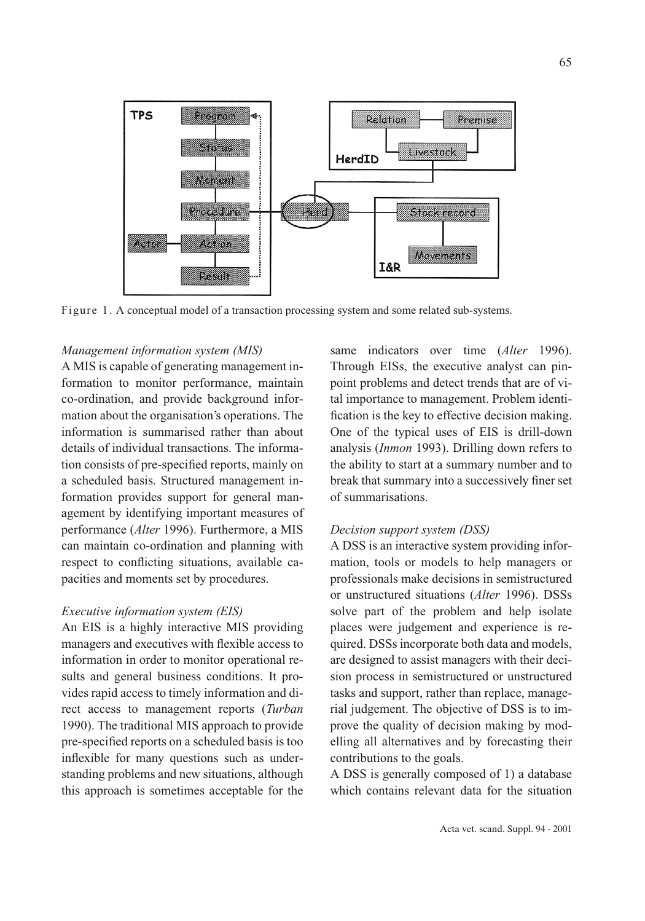

Figure 1. A conceptual model of a transaction processing system and some related sub-systems.

#### *Management information system (MIS)*

A MIS is capable of generating management information to monitor performance, maintain co-ordination, and provide background information about the organisation's operations. The information is summarised rather than about details of individual transactions. The information consists of pre-specified reports, mainly on a scheduled basis. Structured management information provides support for general management by identifying important measures of performance (*Alter* 1996). Furthermore, a MIS can maintain co-ordination and planning with respect to conflicting situations, available capacities and moments set by procedures.

### *Executive information system (EIS)*

An EIS is a highly interactive MIS providing managers and executives with flexible access to information in order to monitor operational results and general business conditions. It provides rapid access to timely information and direct access to management reports (*Turban* 1990). The traditional MIS approach to provide pre-specified reports on a scheduled basis is too inflexible for many questions such as understanding problems and new situations, although this approach is sometimes acceptable for the same indicators over time (*Alter* 1996). Through EISs, the executive analyst can pinpoint problems and detect trends that are of vital importance to management. Problem identification is the key to effective decision making. One of the typical uses of EIS is drill-down analysis (*Inmon* 1993). Drilling down refers to the ability to start at a summary number and to break that summary into a successively finer set of summarisations.

#### *Decision support system (DSS)*

A DSS is an interactive system providing information, tools or models to help managers or professionals make decisions in semistructured or unstructured situations (*Alter* 1996). DSSs solve part of the problem and help isolate places were judgement and experience is required. DSSs incorporate both data and models, are designed to assist managers with their decision process in semistructured or unstructured tasks and support, rather than replace, managerial judgement. The objective of DSS is to improve the quality of decision making by modelling all alternatives and by forecasting their contributions to the goals.

A DSS is generally composed of 1) a database which contains relevant data for the situation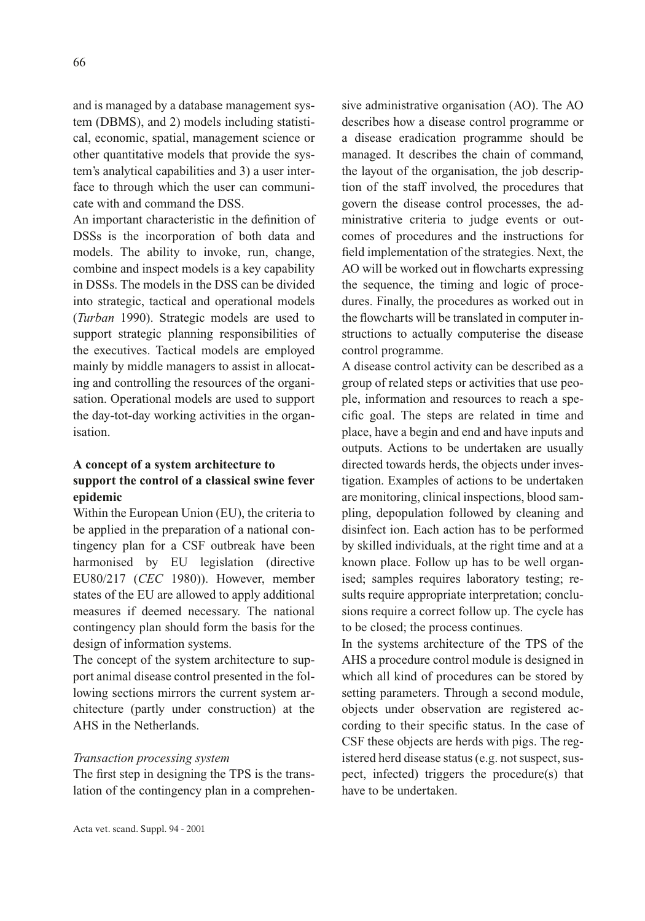and is managed by a database management system (DBMS), and 2) models including statistical, economic, spatial, management science or other quantitative models that provide the system's analytical capabilities and 3) a user interface to through which the user can communicate with and command the DSS.

An important characteristic in the definition of DSSs is the incorporation of both data and models. The ability to invoke, run, change, combine and inspect models is a key capability in DSSs. The models in the DSS can be divided into strategic, tactical and operational models (*Turban* 1990). Strategic models are used to support strategic planning responsibilities of the executives. Tactical models are employed mainly by middle managers to assist in allocating and controlling the resources of the organisation. Operational models are used to support the day-tot-day working activities in the organisation.

# **A concept of a system architecture to support the control of a classical swine fever epidemic**

Within the European Union (EU), the criteria to be applied in the preparation of a national contingency plan for a CSF outbreak have been harmonised by EU legislation (directive EU80/217 (*CEC* 1980)). However, member states of the EU are allowed to apply additional measures if deemed necessary. The national contingency plan should form the basis for the design of information systems.

The concept of the system architecture to support animal disease control presented in the following sections mirrors the current system architecture (partly under construction) at the AHS in the Netherlands.

#### *Transaction processing system*

The first step in designing the TPS is the translation of the contingency plan in a comprehen-

sive administrative organisation (AO). The AO describes how a disease control programme or a disease eradication programme should be managed. It describes the chain of command, the layout of the organisation, the job description of the staff involved, the procedures that govern the disease control processes, the administrative criteria to judge events or outcomes of procedures and the instructions for field implementation of the strategies. Next, the AO will be worked out in flowcharts expressing the sequence, the timing and logic of procedures. Finally, the procedures as worked out in the flowcharts will be translated in computer instructions to actually computerise the disease control programme.

A disease control activity can be described as a group of related steps or activities that use people, information and resources to reach a specific goal. The steps are related in time and place, have a begin and end and have inputs and outputs. Actions to be undertaken are usually directed towards herds, the objects under investigation. Examples of actions to be undertaken are monitoring, clinical inspections, blood sampling, depopulation followed by cleaning and disinfect ion. Each action has to be performed by skilled individuals, at the right time and at a known place. Follow up has to be well organised; samples requires laboratory testing; results require appropriate interpretation; conclusions require a correct follow up. The cycle has to be closed; the process continues.

In the systems architecture of the TPS of the AHS a procedure control module is designed in which all kind of procedures can be stored by setting parameters. Through a second module, objects under observation are registered according to their specific status. In the case of CSF these objects are herds with pigs. The registered herd disease status (e.g. not suspect, suspect, infected) triggers the procedure(s) that have to be undertaken.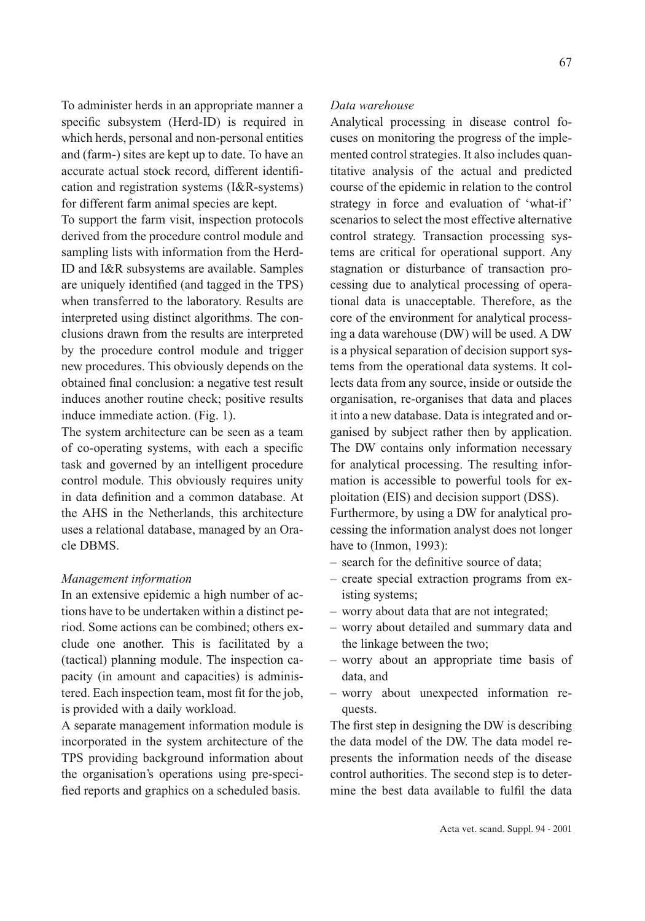To administer herds in an appropriate manner a specific subsystem (Herd-ID) is required in which herds, personal and non-personal entities and (farm-) sites are kept up to date. To have an accurate actual stock record, different identification and registration systems (I&R-systems) for different farm animal species are kept.

To support the farm visit, inspection protocols derived from the procedure control module and sampling lists with information from the Herd-ID and I&R subsystems are available. Samples are uniquely identified (and tagged in the TPS) when transferred to the laboratory. Results are interpreted using distinct algorithms. The conclusions drawn from the results are interpreted by the procedure control module and trigger new procedures. This obviously depends on the obtained final conclusion: a negative test result induces another routine check; positive results induce immediate action. (Fig. 1).

The system architecture can be seen as a team of co-operating systems, with each a specific task and governed by an intelligent procedure control module. This obviously requires unity in data definition and a common database. At the AHS in the Netherlands, this architecture uses a relational database, managed by an Oracle DBMS.

#### *Management information*

In an extensive epidemic a high number of actions have to be undertaken within a distinct period. Some actions can be combined; others exclude one another. This is facilitated by a (tactical) planning module. The inspection capacity (in amount and capacities) is administered. Each inspection team, most fit for the job, is provided with a daily workload.

A separate management information module is incorporated in the system architecture of the TPS providing background information about the organisation's operations using pre-specified reports and graphics on a scheduled basis.

## *Data warehouse*

Analytical processing in disease control focuses on monitoring the progress of the implemented control strategies. It also includes quantitative analysis of the actual and predicted course of the epidemic in relation to the control strategy in force and evaluation of 'what-if' scenarios to select the most effective alternative control strategy. Transaction processing systems are critical for operational support. Any stagnation or disturbance of transaction processing due to analytical processing of operational data is unacceptable. Therefore, as the core of the environment for analytical processing a data warehouse (DW) will be used. A DW is a physical separation of decision support systems from the operational data systems. It collects data from any source, inside or outside the organisation, re-organises that data and places it into a new database. Data is integrated and organised by subject rather then by application. The DW contains only information necessary for analytical processing. The resulting information is accessible to powerful tools for exploitation (EIS) and decision support (DSS). Furthermore, by using a DW for analytical processing the information analyst does not longer have to (Inmon, 1993):

- search for the definitive source of data;
- create special extraction programs from existing systems;
- worry about data that are not integrated;
- worry about detailed and summary data and the linkage between the two;
- worry about an appropriate time basis of data, and
- worry about unexpected information requests.

The first step in designing the DW is describing the data model of the DW. The data model represents the information needs of the disease control authorities. The second step is to determine the best data available to fulfil the data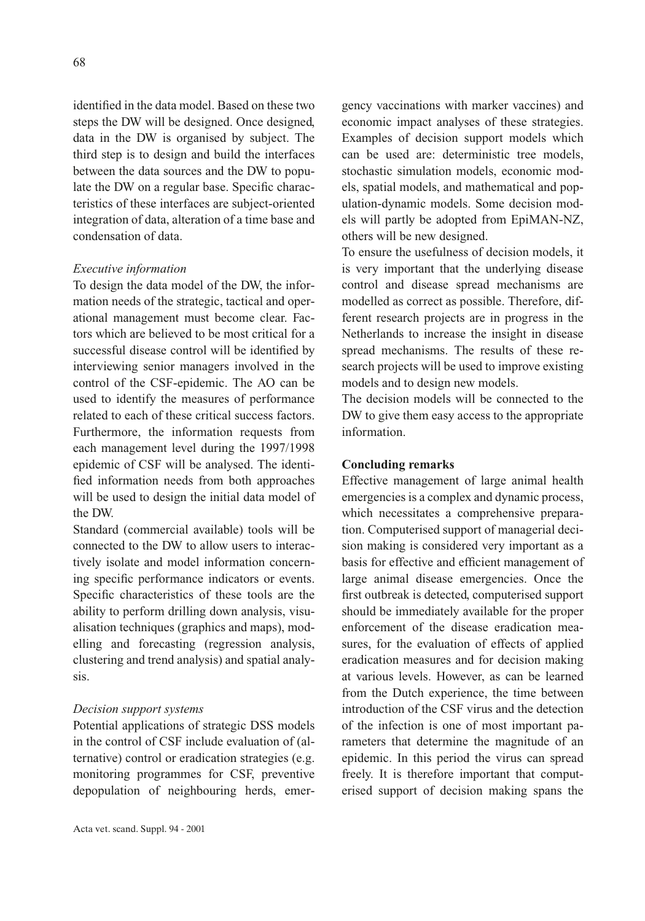identified in the data model. Based on these two steps the DW will be designed. Once designed, data in the DW is organised by subject. The third step is to design and build the interfaces between the data sources and the DW to populate the DW on a regular base. Specific characteristics of these interfaces are subject-oriented integration of data, alteration of a time base and condensation of data.

#### *Executive information*

To design the data model of the DW, the information needs of the strategic, tactical and operational management must become clear. Factors which are believed to be most critical for a successful disease control will be identified by interviewing senior managers involved in the control of the CSF-epidemic. The AO can be used to identify the measures of performance related to each of these critical success factors. Furthermore, the information requests from each management level during the 1997/1998 epidemic of CSF will be analysed. The identified information needs from both approaches will be used to design the initial data model of the DW.

Standard (commercial available) tools will be connected to the DW to allow users to interactively isolate and model information concerning specific performance indicators or events. Specific characteristics of these tools are the ability to perform drilling down analysis, visualisation techniques (graphics and maps), modelling and forecasting (regression analysis, clustering and trend analysis) and spatial analysis.

#### *Decision support systems*

Potential applications of strategic DSS models in the control of CSF include evaluation of (alternative) control or eradication strategies (e.g. monitoring programmes for CSF, preventive depopulation of neighbouring herds, emer-

gency vaccinations with marker vaccines) and economic impact analyses of these strategies. Examples of decision support models which can be used are: deterministic tree models, stochastic simulation models, economic models, spatial models, and mathematical and population-dynamic models. Some decision models will partly be adopted from EpiMAN-NZ, others will be new designed.

To ensure the usefulness of decision models, it is very important that the underlying disease control and disease spread mechanisms are modelled as correct as possible. Therefore, different research projects are in progress in the Netherlands to increase the insight in disease spread mechanisms. The results of these research projects will be used to improve existing models and to design new models.

The decision models will be connected to the DW to give them easy access to the appropriate information.

## **Concluding remarks**

Effective management of large animal health emergencies is a complex and dynamic process, which necessitates a comprehensive preparation. Computerised support of managerial decision making is considered very important as a basis for effective and efficient management of large animal disease emergencies. Once the first outbreak is detected, computerised support should be immediately available for the proper enforcement of the disease eradication measures, for the evaluation of effects of applied eradication measures and for decision making at various levels. However, as can be learned from the Dutch experience, the time between introduction of the CSF virus and the detection of the infection is one of most important parameters that determine the magnitude of an epidemic. In this period the virus can spread freely. It is therefore important that computerised support of decision making spans the